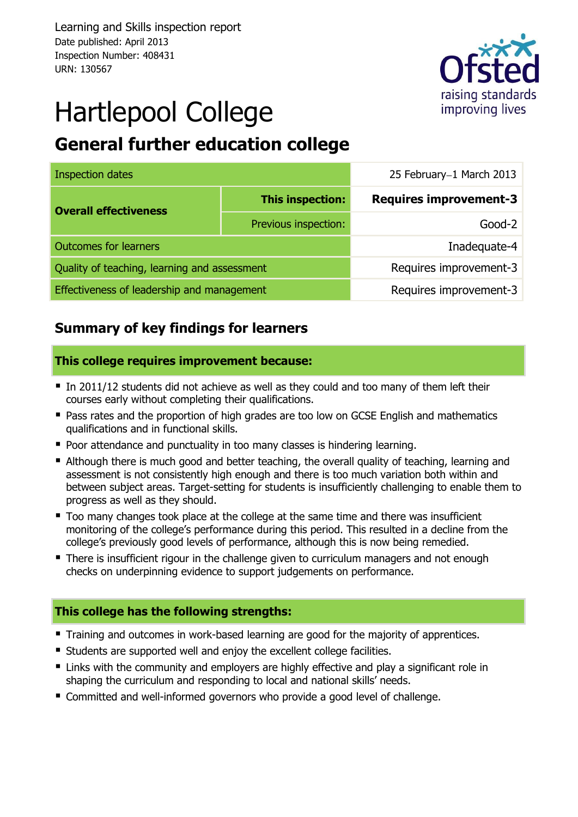Learning and Skills inspection report Date published: April 2013 Inspection Number: 408431 URN: 130567



# Hartlepool College

# **General further education college**

| <b>Inspection dates</b>                      |                      | 25 February-1 March 2013      |  |  |
|----------------------------------------------|----------------------|-------------------------------|--|--|
| <b>Overall effectiveness</b>                 | This inspection:     | <b>Requires improvement-3</b> |  |  |
|                                              | Previous inspection: | $Good-2$                      |  |  |
| <b>Outcomes for learners</b>                 |                      | Inadequate-4                  |  |  |
| Quality of teaching, learning and assessment |                      | Requires improvement-3        |  |  |
| Effectiveness of leadership and management   |                      | Requires improvement-3        |  |  |

# **Summary of key findings for learners**

#### **This college requires improvement because:**

- In 2011/12 students did not achieve as well as they could and too many of them left their courses early without completing their qualifications.
- **Pass rates and the proportion of high grades are too low on GCSE English and mathematics** qualifications and in functional skills.
- **Poor attendance and punctuality in too many classes is hindering learning.**
- Although there is much good and better teaching, the overall quality of teaching, learning and assessment is not consistently high enough and there is too much variation both within and between subject areas. Target-setting for students is insufficiently challenging to enable them to progress as well as they should.
- Too many changes took place at the college at the same time and there was insufficient monitoring of the college's performance during this period. This resulted in a decline from the college's previously good levels of performance, although this is now being remedied.
- There is insufficient rigour in the challenge given to curriculum managers and not enough checks on underpinning evidence to support judgements on performance.

#### **This college has the following strengths:**

- **Training and outcomes in work-based learning are good for the majority of apprentices.**
- Students are supported well and enjoy the excellent college facilities.
- **E** Links with the community and employers are highly effective and play a significant role in shaping the curriculum and responding to local and national skills' needs.
- Committed and well-informed governors who provide a good level of challenge.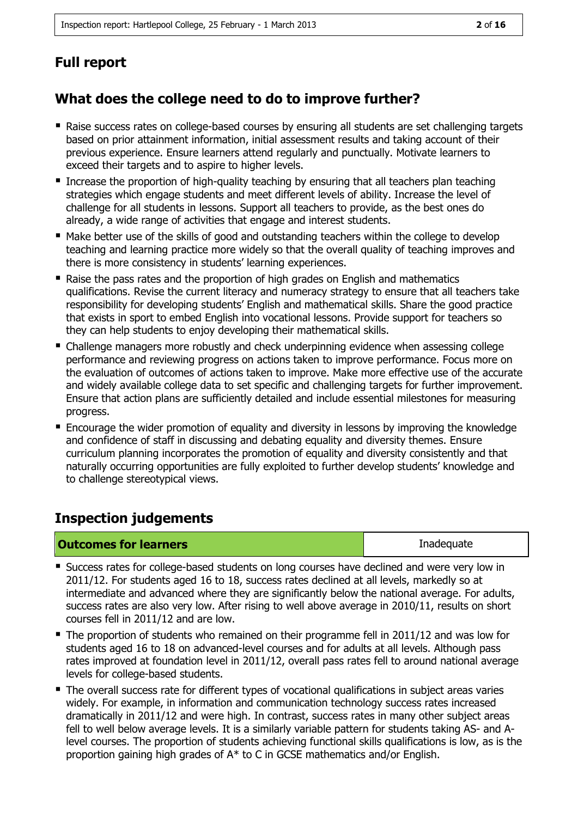# **Full report**

# **What does the college need to do to improve further?**

- Raise success rates on college-based courses by ensuring all students are set challenging targets based on prior attainment information, initial assessment results and taking account of their previous experience. Ensure learners attend regularly and punctually. Motivate learners to exceed their targets and to aspire to higher levels.
- Increase the proportion of high-quality teaching by ensuring that all teachers plan teaching strategies which engage students and meet different levels of ability. Increase the level of challenge for all students in lessons. Support all teachers to provide, as the best ones do already, a wide range of activities that engage and interest students.
- Make better use of the skills of good and outstanding teachers within the college to develop teaching and learning practice more widely so that the overall quality of teaching improves and there is more consistency in students' learning experiences.
- Raise the pass rates and the proportion of high grades on English and mathematics qualifications. Revise the current literacy and numeracy strategy to ensure that all teachers take responsibility for developing students' English and mathematical skills. Share the good practice that exists in sport to embed English into vocational lessons. Provide support for teachers so they can help students to enjoy developing their mathematical skills.
- Challenge managers more robustly and check underpinning evidence when assessing college performance and reviewing progress on actions taken to improve performance. Focus more on the evaluation of outcomes of actions taken to improve. Make more effective use of the accurate and widely available college data to set specific and challenging targets for further improvement. Ensure that action plans are sufficiently detailed and include essential milestones for measuring progress.
- Encourage the wider promotion of equality and diversity in lessons by improving the knowledge and confidence of staff in discussing and debating equality and diversity themes. Ensure curriculum planning incorporates the promotion of equality and diversity consistently and that naturally occurring opportunities are fully exploited to further develop students' knowledge and to challenge stereotypical views.

# **Inspection judgements**

| <b>Outcomes for learners</b> | Inadequate |
|------------------------------|------------|
|------------------------------|------------|

- **Success rates for college-based students on long courses have declined and were very low in** 2011/12. For students aged 16 to 18, success rates declined at all levels, markedly so at intermediate and advanced where they are significantly below the national average. For adults, success rates are also very low. After rising to well above average in 2010/11, results on short courses fell in 2011/12 and are low.
- The proportion of students who remained on their programme fell in 2011/12 and was low for students aged 16 to 18 on advanced-level courses and for adults at all levels. Although pass rates improved at foundation level in 2011/12, overall pass rates fell to around national average levels for college-based students.
- The overall success rate for different types of vocational qualifications in subject areas varies widely. For example, in information and communication technology success rates increased dramatically in 2011/12 and were high. In contrast, success rates in many other subject areas fell to well below average levels. It is a similarly variable pattern for students taking AS- and Alevel courses. The proportion of students achieving functional skills qualifications is low, as is the proportion gaining high grades of A\* to C in GCSE mathematics and/or English.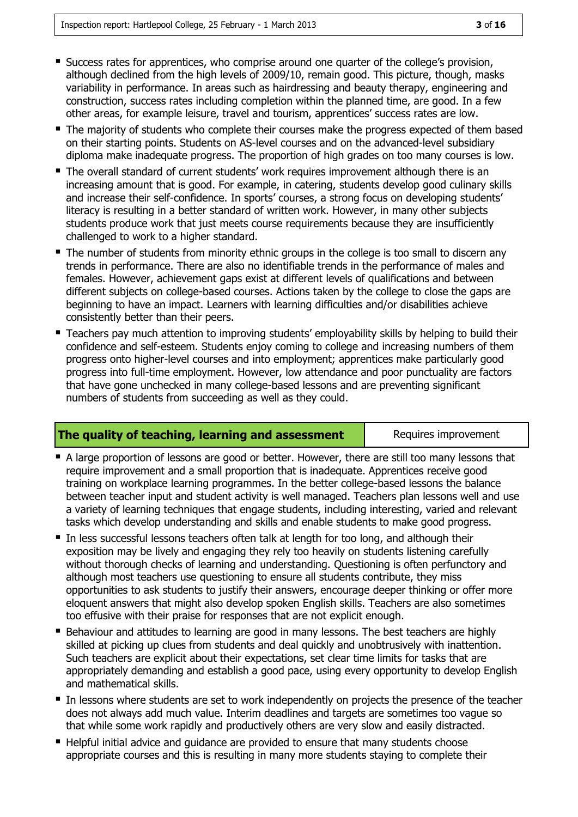- Success rates for apprentices, who comprise around one quarter of the college's provision, although declined from the high levels of 2009/10, remain good. This picture, though, masks variability in performance. In areas such as hairdressing and beauty therapy, engineering and construction, success rates including completion within the planned time, are good. In a few other areas, for example leisure, travel and tourism, apprentices' success rates are low.
- The majority of students who complete their courses make the progress expected of them based on their starting points. Students on AS-level courses and on the advanced-level subsidiary diploma make inadequate progress. The proportion of high grades on too many courses is low.
- The overall standard of current students' work requires improvement although there is an increasing amount that is good. For example, in catering, students develop good culinary skills and increase their self-confidence. In sports' courses, a strong focus on developing students' literacy is resulting in a better standard of written work. However, in many other subjects students produce work that just meets course requirements because they are insufficiently challenged to work to a higher standard.
- The number of students from minority ethnic groups in the college is too small to discern any trends in performance. There are also no identifiable trends in the performance of males and females. However, achievement gaps exist at different levels of qualifications and between different subjects on college-based courses. Actions taken by the college to close the gaps are beginning to have an impact. Learners with learning difficulties and/or disabilities achieve consistently better than their peers.
- **Teachers pay much attention to improving students' employability skills by helping to build their** confidence and self-esteem. Students enjoy coming to college and increasing numbers of them progress onto higher-level courses and into employment; apprentices make particularly good progress into full-time employment. However, low attendance and poor punctuality are factors that have gone unchecked in many college-based lessons and are preventing significant numbers of students from succeeding as well as they could.

#### **The quality of teaching, learning and assessment** Requires improvement

- A large proportion of lessons are good or better. However, there are still too many lessons that require improvement and a small proportion that is inadequate. Apprentices receive good training on workplace learning programmes. In the better college-based lessons the balance between teacher input and student activity is well managed. Teachers plan lessons well and use a variety of learning techniques that engage students, including interesting, varied and relevant tasks which develop understanding and skills and enable students to make good progress.
- In less successful lessons teachers often talk at length for too long, and although their exposition may be lively and engaging they rely too heavily on students listening carefully without thorough checks of learning and understanding. Questioning is often perfunctory and although most teachers use questioning to ensure all students contribute, they miss opportunities to ask students to justify their answers, encourage deeper thinking or offer more eloquent answers that might also develop spoken English skills. Teachers are also sometimes too effusive with their praise for responses that are not explicit enough.
- Behaviour and attitudes to learning are good in many lessons. The best teachers are highly skilled at picking up clues from students and deal quickly and unobtrusively with inattention. Such teachers are explicit about their expectations, set clear time limits for tasks that are appropriately demanding and establish a good pace, using every opportunity to develop English and mathematical skills.
- In lessons where students are set to work independently on projects the presence of the teacher does not always add much value. Interim deadlines and targets are sometimes too vague so that while some work rapidly and productively others are very slow and easily distracted.
- Helpful initial advice and guidance are provided to ensure that many students choose appropriate courses and this is resulting in many more students staying to complete their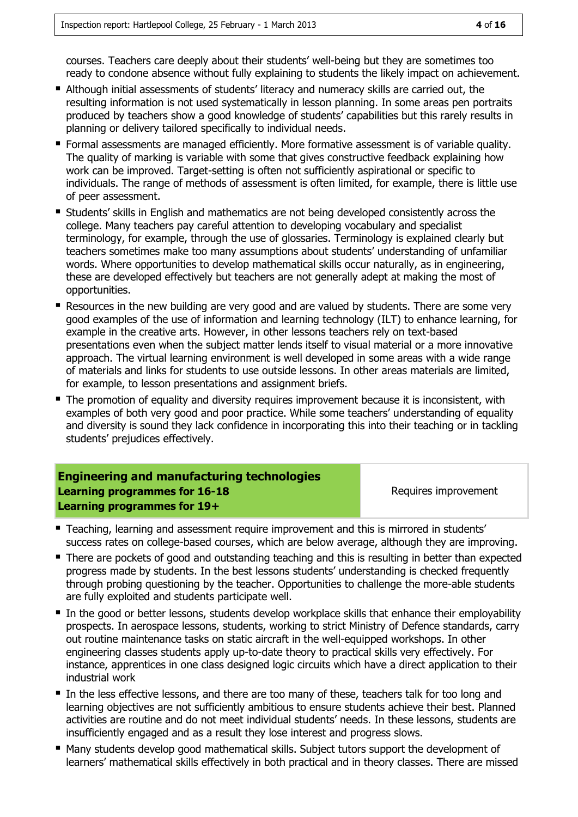courses. Teachers care deeply about their students' well-being but they are sometimes too ready to condone absence without fully explaining to students the likely impact on achievement.

- Although initial assessments of students' literacy and numeracy skills are carried out, the resulting information is not used systematically in lesson planning. In some areas pen portraits produced by teachers show a good knowledge of students' capabilities but this rarely results in planning or delivery tailored specifically to individual needs.
- Formal assessments are managed efficiently. More formative assessment is of variable quality. The quality of marking is variable with some that gives constructive feedback explaining how work can be improved. Target-setting is often not sufficiently aspirational or specific to individuals. The range of methods of assessment is often limited, for example, there is little use of peer assessment.
- Students' skills in English and mathematics are not being developed consistently across the college. Many teachers pay careful attention to developing vocabulary and specialist terminology, for example, through the use of glossaries. Terminology is explained clearly but teachers sometimes make too many assumptions about students' understanding of unfamiliar words. Where opportunities to develop mathematical skills occur naturally, as in engineering, these are developed effectively but teachers are not generally adept at making the most of opportunities.
- Resources in the new building are very good and are valued by students. There are some very good examples of the use of information and learning technology (ILT) to enhance learning, for example in the creative arts. However, in other lessons teachers rely on text-based presentations even when the subject matter lends itself to visual material or a more innovative approach. The virtual learning environment is well developed in some areas with a wide range of materials and links for students to use outside lessons. In other areas materials are limited, for example, to lesson presentations and assignment briefs.
- **The promotion of equality and diversity requires improvement because it is inconsistent, with** examples of both very good and poor practice. While some teachers' understanding of equality and diversity is sound they lack confidence in incorporating this into their teaching or in tackling students' prejudices effectively.

| <b>Engineering and manufacturing technologies</b> |                      |
|---------------------------------------------------|----------------------|
| Learning programmes for 16-18                     | Requires improvement |
| Learning programmes for 19+                       |                      |

- **Teaching, learning and assessment require improvement and this is mirrored in students'** success rates on college-based courses, which are below average, although they are improving.
- There are pockets of good and outstanding teaching and this is resulting in better than expected progress made by students. In the best lessons students' understanding is checked frequently through probing questioning by the teacher. Opportunities to challenge the more-able students are fully exploited and students participate well.
- In the good or better lessons, students develop workplace skills that enhance their employability prospects. In aerospace lessons, students, working to strict Ministry of Defence standards, carry out routine maintenance tasks on static aircraft in the well-equipped workshops. In other engineering classes students apply up-to-date theory to practical skills very effectively. For instance, apprentices in one class designed logic circuits which have a direct application to their industrial work
- In the less effective lessons, and there are too many of these, teachers talk for too long and learning objectives are not sufficiently ambitious to ensure students achieve their best. Planned activities are routine and do not meet individual students' needs. In these lessons, students are insufficiently engaged and as a result they lose interest and progress slows.
- Many students develop good mathematical skills. Subject tutors support the development of learners' mathematical skills effectively in both practical and in theory classes. There are missed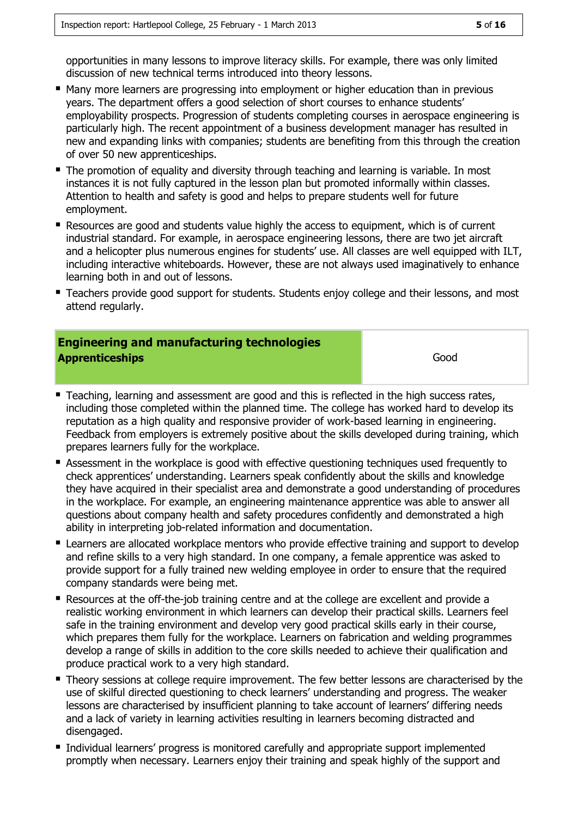opportunities in many lessons to improve literacy skills. For example, there was only limited discussion of new technical terms introduced into theory lessons.

- **Many more learners are progressing into employment or higher education than in previous** years. The department offers a good selection of short courses to enhance students' employability prospects. Progression of students completing courses in aerospace engineering is particularly high. The recent appointment of a business development manager has resulted in new and expanding links with companies; students are benefiting from this through the creation of over 50 new apprenticeships.
- **The promotion of equality and diversity through teaching and learning is variable. In most** instances it is not fully captured in the lesson plan but promoted informally within classes. Attention to health and safety is good and helps to prepare students well for future employment.
- Resources are good and students value highly the access to equipment, which is of current industrial standard. For example, in aerospace engineering lessons, there are two jet aircraft and a helicopter plus numerous engines for students' use. All classes are well equipped with ILT, including interactive whiteboards. However, these are not always used imaginatively to enhance learning both in and out of lessons.
- **Teachers provide good support for students. Students enjoy college and their lessons, and most** attend regularly.

#### **Engineering and manufacturing technologies Apprenticeships** Good

- **Teaching, learning and assessment are good and this is reflected in the high success rates,** including those completed within the planned time. The college has worked hard to develop its reputation as a high quality and responsive provider of work-based learning in engineering. Feedback from employers is extremely positive about the skills developed during training, which prepares learners fully for the workplace.
- **Assessment in the workplace is good with effective questioning techniques used frequently to** check apprentices' understanding. Learners speak confidently about the skills and knowledge they have acquired in their specialist area and demonstrate a good understanding of procedures in the workplace. For example, an engineering maintenance apprentice was able to answer all questions about company health and safety procedures confidently and demonstrated a high ability in interpreting job-related information and documentation.
- **E** Learners are allocated workplace mentors who provide effective training and support to develop and refine skills to a very high standard. In one company, a female apprentice was asked to provide support for a fully trained new welding employee in order to ensure that the required company standards were being met.
- Resources at the off-the-job training centre and at the college are excellent and provide a realistic working environment in which learners can develop their practical skills. Learners feel safe in the training environment and develop very good practical skills early in their course, which prepares them fully for the workplace. Learners on fabrication and welding programmes develop a range of skills in addition to the core skills needed to achieve their qualification and produce practical work to a very high standard.
- Theory sessions at college require improvement. The few better lessons are characterised by the use of skilful directed questioning to check learners' understanding and progress. The weaker lessons are characterised by insufficient planning to take account of learners' differing needs and a lack of variety in learning activities resulting in learners becoming distracted and disengaged.
- **Individual learners' progress is monitored carefully and appropriate support implemented** promptly when necessary. Learners enjoy their training and speak highly of the support and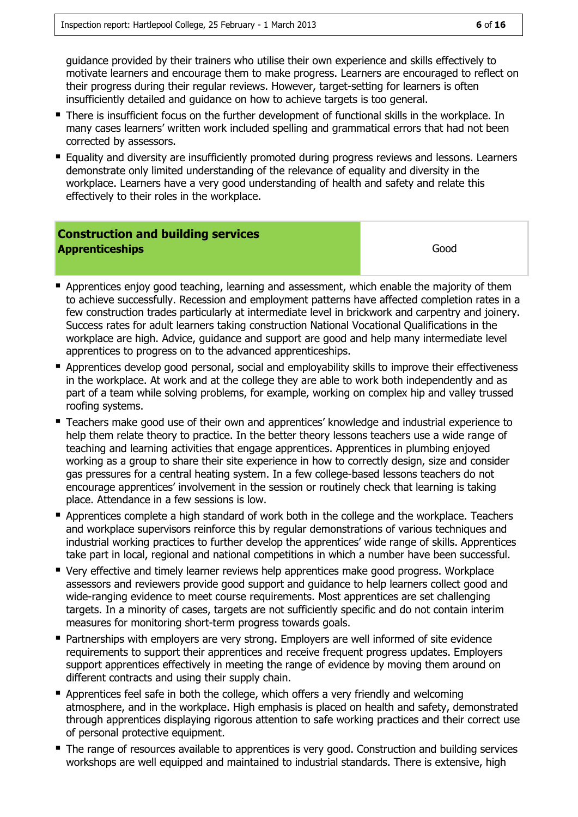guidance provided by their trainers who utilise their own experience and skills effectively to motivate learners and encourage them to make progress. Learners are encouraged to reflect on their progress during their regular reviews. However, target-setting for learners is often insufficiently detailed and guidance on how to achieve targets is too general.

- **There is insufficient focus on the further development of functional skills in the workplace. In** many cases learners' written work included spelling and grammatical errors that had not been corrected by assessors.
- **E** Equality and diversity are insufficiently promoted during progress reviews and lessons. Learners demonstrate only limited understanding of the relevance of equality and diversity in the workplace. Learners have a very good understanding of health and safety and relate this effectively to their roles in the workplace.

### **Construction and building services Apprenticeships** Good

- **Apprentices enjoy good teaching, learning and assessment, which enable the majority of them** to achieve successfully. Recession and employment patterns have affected completion rates in a few construction trades particularly at intermediate level in brickwork and carpentry and joinery. Success rates for adult learners taking construction National Vocational Qualifications in the workplace are high. Advice, guidance and support are good and help many intermediate level apprentices to progress on to the advanced apprenticeships.
- Apprentices develop good personal, social and employability skills to improve their effectiveness in the workplace. At work and at the college they are able to work both independently and as part of a team while solving problems, for example, working on complex hip and valley trussed roofing systems.
- Teachers make good use of their own and apprentices' knowledge and industrial experience to help them relate theory to practice. In the better theory lessons teachers use a wide range of teaching and learning activities that engage apprentices. Apprentices in plumbing enjoyed working as a group to share their site experience in how to correctly design, size and consider gas pressures for a central heating system. In a few college-based lessons teachers do not encourage apprentices' involvement in the session or routinely check that learning is taking place. Attendance in a few sessions is low.
- Apprentices complete a high standard of work both in the college and the workplace. Teachers and workplace supervisors reinforce this by regular demonstrations of various techniques and industrial working practices to further develop the apprentices' wide range of skills. Apprentices take part in local, regional and national competitions in which a number have been successful.
- Very effective and timely learner reviews help apprentices make good progress. Workplace assessors and reviewers provide good support and guidance to help learners collect good and wide-ranging evidence to meet course requirements. Most apprentices are set challenging targets. In a minority of cases, targets are not sufficiently specific and do not contain interim measures for monitoring short-term progress towards goals.
- **Partnerships with employers are very strong. Employers are well informed of site evidence** requirements to support their apprentices and receive frequent progress updates. Employers support apprentices effectively in meeting the range of evidence by moving them around on different contracts and using their supply chain.
- Apprentices feel safe in both the college, which offers a very friendly and welcoming atmosphere, and in the workplace. High emphasis is placed on health and safety, demonstrated through apprentices displaying rigorous attention to safe working practices and their correct use of personal protective equipment.
- The range of resources available to apprentices is very good. Construction and building services workshops are well equipped and maintained to industrial standards. There is extensive, high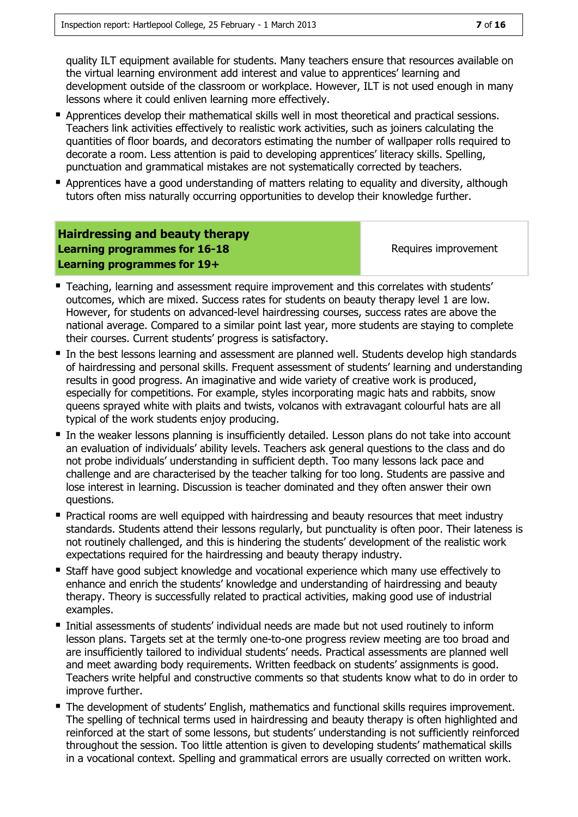quality ILT equipment available for students. Many teachers ensure that resources available on the virtual learning environment add interest and value to apprentices' learning and development outside of the classroom or workplace. However, ILT is not used enough in many lessons where it could enliven learning more effectively.

- **Apprentices develop their mathematical skills well in most theoretical and practical sessions.** Teachers link activities effectively to realistic work activities, such as joiners calculating the quantities of floor boards, and decorators estimating the number of wallpaper rolls required to decorate a room. Less attention is paid to developing apprentices' literacy skills. Spelling, punctuation and grammatical mistakes are not systematically corrected by teachers.
- **Apprentices have a good understanding of matters relating to equality and diversity, although** tutors often miss naturally occurring opportunities to develop their knowledge further.

#### **Hairdressing and beauty therapy Learning programmes for 16-18 Learning programmes for 19+**

Requires improvement

- Teaching, learning and assessment require improvement and this correlates with students' outcomes, which are mixed. Success rates for students on beauty therapy level 1 are low. However, for students on advanced-level hairdressing courses, success rates are above the national average. Compared to a similar point last year, more students are staying to complete their courses. Current students' progress is satisfactory.
- In the best lessons learning and assessment are planned well. Students develop high standards of hairdressing and personal skills. Frequent assessment of students' learning and understanding results in good progress. An imaginative and wide variety of creative work is produced, especially for competitions. For example, styles incorporating magic hats and rabbits, snow queens sprayed white with plaits and twists, volcanos with extravagant colourful hats are all typical of the work students enjoy producing.
- In the weaker lessons planning is insufficiently detailed. Lesson plans do not take into account an evaluation of individuals' ability levels. Teachers ask general questions to the class and do not probe individuals' understanding in sufficient depth. Too many lessons lack pace and challenge and are characterised by the teacher talking for too long. Students are passive and lose interest in learning. Discussion is teacher dominated and they often answer their own questions.
- **Practical rooms are well equipped with hairdressing and beauty resources that meet industry** standards. Students attend their lessons regularly, but punctuality is often poor. Their lateness is not routinely challenged, and this is hindering the students' development of the realistic work expectations required for the hairdressing and beauty therapy industry.
- Staff have good subject knowledge and vocational experience which many use effectively to enhance and enrich the students' knowledge and understanding of hairdressing and beauty therapy. Theory is successfully related to practical activities, making good use of industrial examples.
- Initial assessments of students' individual needs are made but not used routinely to inform lesson plans. Targets set at the termly one-to-one progress review meeting are too broad and are insufficiently tailored to individual students' needs. Practical assessments are planned well and meet awarding body requirements. Written feedback on students' assignments is good. Teachers write helpful and constructive comments so that students know what to do in order to improve further.
- The development of students' English, mathematics and functional skills requires improvement. The spelling of technical terms used in hairdressing and beauty therapy is often highlighted and reinforced at the start of some lessons, but students' understanding is not sufficiently reinforced throughout the session. Too little attention is given to developing students' mathematical skills in a vocational context. Spelling and grammatical errors are usually corrected on written work.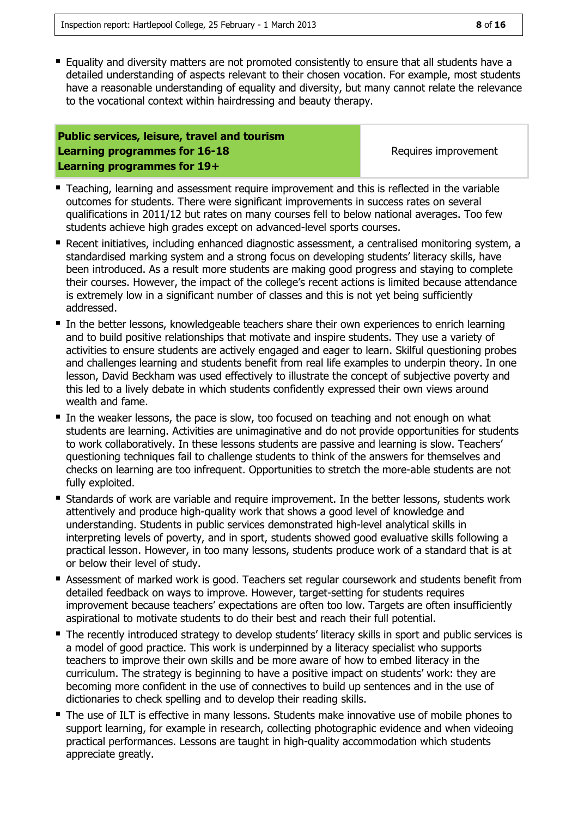**Equality and diversity matters are not promoted consistently to ensure that all students have a** detailed understanding of aspects relevant to their chosen vocation. For example, most students have a reasonable understanding of equality and diversity, but many cannot relate the relevance to the vocational context within hairdressing and beauty therapy.

#### **Public services, leisure, travel and tourism Learning programmes for 16-18 Learning programmes for 19+**

Requires improvement

- **Teaching, learning and assessment require improvement and this is reflected in the variable** outcomes for students. There were significant improvements in success rates on several qualifications in 2011/12 but rates on many courses fell to below national averages. Too few students achieve high grades except on advanced-level sports courses.
- Recent initiatives, including enhanced diagnostic assessment, a centralised monitoring system, a standardised marking system and a strong focus on developing students' literacy skills, have been introduced. As a result more students are making good progress and staying to complete their courses. However, the impact of the college's recent actions is limited because attendance is extremely low in a significant number of classes and this is not yet being sufficiently addressed.
- In the better lessons, knowledgeable teachers share their own experiences to enrich learning and to build positive relationships that motivate and inspire students. They use a variety of activities to ensure students are actively engaged and eager to learn. Skilful questioning probes and challenges learning and students benefit from real life examples to underpin theory. In one lesson, David Beckham was used effectively to illustrate the concept of subjective poverty and this led to a lively debate in which students confidently expressed their own views around wealth and fame.
- In the weaker lessons, the pace is slow, too focused on teaching and not enough on what students are learning. Activities are unimaginative and do not provide opportunities for students to work collaboratively. In these lessons students are passive and learning is slow. Teachers' questioning techniques fail to challenge students to think of the answers for themselves and checks on learning are too infrequent. Opportunities to stretch the more-able students are not fully exploited.
- **Standards of work are variable and require improvement. In the better lessons, students work** attentively and produce high-quality work that shows a good level of knowledge and understanding. Students in public services demonstrated high-level analytical skills in interpreting levels of poverty, and in sport, students showed good evaluative skills following a practical lesson. However, in too many lessons, students produce work of a standard that is at or below their level of study.
- Assessment of marked work is good. Teachers set regular coursework and students benefit from detailed feedback on ways to improve. However, target-setting for students requires improvement because teachers' expectations are often too low. Targets are often insufficiently aspirational to motivate students to do their best and reach their full potential.
- The recently introduced strategy to develop students' literacy skills in sport and public services is a model of good practice. This work is underpinned by a literacy specialist who supports teachers to improve their own skills and be more aware of how to embed literacy in the curriculum. The strategy is beginning to have a positive impact on students' work: they are becoming more confident in the use of connectives to build up sentences and in the use of dictionaries to check spelling and to develop their reading skills.
- The use of ILT is effective in many lessons. Students make innovative use of mobile phones to support learning, for example in research, collecting photographic evidence and when videoing practical performances. Lessons are taught in high-quality accommodation which students appreciate greatly.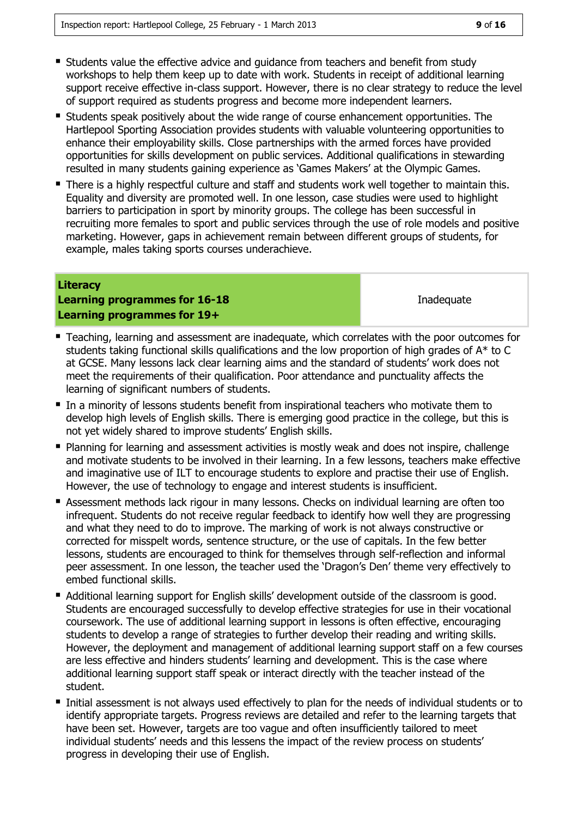- **Students value the effective advice and guidance from teachers and benefit from study** workshops to help them keep up to date with work. Students in receipt of additional learning support receive effective in-class support. However, there is no clear strategy to reduce the level of support required as students progress and become more independent learners.
- Students speak positively about the wide range of course enhancement opportunities. The Hartlepool Sporting Association provides students with valuable volunteering opportunities to enhance their employability skills. Close partnerships with the armed forces have provided opportunities for skills development on public services. Additional qualifications in stewarding resulted in many students gaining experience as 'Games Makers' at the Olympic Games.
- There is a highly respectful culture and staff and students work well together to maintain this. Equality and diversity are promoted well. In one lesson, case studies were used to highlight barriers to participation in sport by minority groups. The college has been successful in recruiting more females to sport and public services through the use of role models and positive marketing. However, gaps in achievement remain between different groups of students, for example, males taking sports courses underachieve.

#### **Literacy**

#### **Learning programmes for 16-18 Learning programmes for 19+**

Inadequate

- Teaching, learning and assessment are inadequate, which correlates with the poor outcomes for students taking functional skills qualifications and the low proportion of high grades of A\* to C at GCSE. Many lessons lack clear learning aims and the standard of students' work does not meet the requirements of their qualification. Poor attendance and punctuality affects the learning of significant numbers of students.
- In a minority of lessons students benefit from inspirational teachers who motivate them to develop high levels of English skills. There is emerging good practice in the college, but this is not yet widely shared to improve students' English skills.
- **Planning for learning and assessment activities is mostly weak and does not inspire, challenge** and motivate students to be involved in their learning. In a few lessons, teachers make effective and imaginative use of ILT to encourage students to explore and practise their use of English. However, the use of technology to engage and interest students is insufficient.
- Assessment methods lack rigour in many lessons. Checks on individual learning are often too infrequent. Students do not receive regular feedback to identify how well they are progressing and what they need to do to improve. The marking of work is not always constructive or corrected for misspelt words, sentence structure, or the use of capitals. In the few better lessons, students are encouraged to think for themselves through self-reflection and informal peer assessment. In one lesson, the teacher used the 'Dragon's Den' theme very effectively to embed functional skills.
- Additional learning support for English skills' development outside of the classroom is good. Students are encouraged successfully to develop effective strategies for use in their vocational coursework. The use of additional learning support in lessons is often effective, encouraging students to develop a range of strategies to further develop their reading and writing skills. However, the deployment and management of additional learning support staff on a few courses are less effective and hinders students' learning and development. This is the case where additional learning support staff speak or interact directly with the teacher instead of the student.
- Initial assessment is not always used effectively to plan for the needs of individual students or to identify appropriate targets. Progress reviews are detailed and refer to the learning targets that have been set. However, targets are too vague and often insufficiently tailored to meet individual students' needs and this lessens the impact of the review process on students' progress in developing their use of English.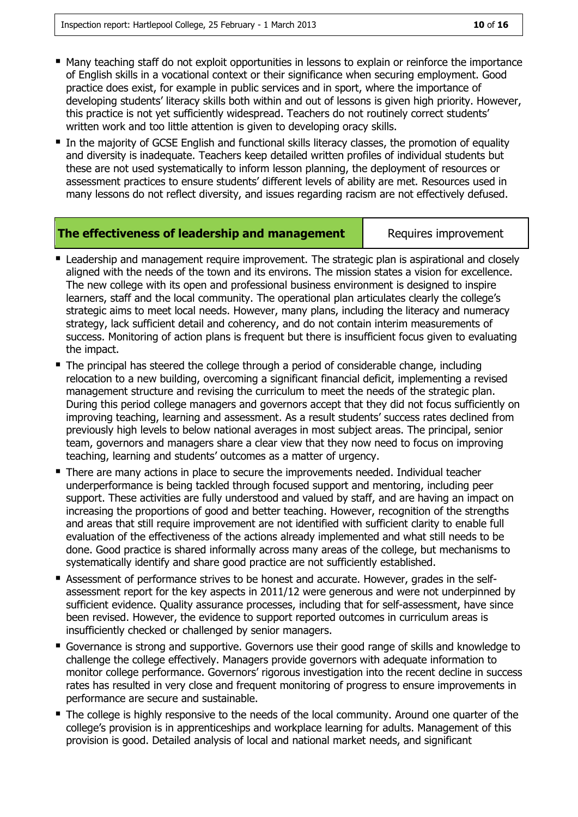- Many teaching staff do not exploit opportunities in lessons to explain or reinforce the importance of English skills in a vocational context or their significance when securing employment. Good practice does exist, for example in public services and in sport, where the importance of developing students' literacy skills both within and out of lessons is given high priority. However, this practice is not yet sufficiently widespread. Teachers do not routinely correct students' written work and too little attention is given to developing oracy skills.
- In the majority of GCSE English and functional skills literacy classes, the promotion of equality and diversity is inadequate. Teachers keep detailed written profiles of individual students but these are not used systematically to inform lesson planning, the deployment of resources or assessment practices to ensure students' different levels of ability are met. Resources used in many lessons do not reflect diversity, and issues regarding racism are not effectively defused.

#### **The effectiveness of leadership and management** | Requires improvement

- **E** Leadership and management require improvement. The strategic plan is aspirational and closely aligned with the needs of the town and its environs. The mission states a vision for excellence. The new college with its open and professional business environment is designed to inspire learners, staff and the local community. The operational plan articulates clearly the college's strategic aims to meet local needs. However, many plans, including the literacy and numeracy strategy, lack sufficient detail and coherency, and do not contain interim measurements of success. Monitoring of action plans is frequent but there is insufficient focus given to evaluating the impact.
- The principal has steered the college through a period of considerable change, including relocation to a new building, overcoming a significant financial deficit, implementing a revised management structure and revising the curriculum to meet the needs of the strategic plan. During this period college managers and governors accept that they did not focus sufficiently on improving teaching, learning and assessment. As a result students' success rates declined from previously high levels to below national averages in most subject areas. The principal, senior team, governors and managers share a clear view that they now need to focus on improving teaching, learning and students' outcomes as a matter of urgency.
- There are many actions in place to secure the improvements needed. Individual teacher underperformance is being tackled through focused support and mentoring, including peer support. These activities are fully understood and valued by staff, and are having an impact on increasing the proportions of good and better teaching. However, recognition of the strengths and areas that still require improvement are not identified with sufficient clarity to enable full evaluation of the effectiveness of the actions already implemented and what still needs to be done. Good practice is shared informally across many areas of the college, but mechanisms to systematically identify and share good practice are not sufficiently established.
- Assessment of performance strives to be honest and accurate. However, grades in the selfassessment report for the key aspects in 2011/12 were generous and were not underpinned by sufficient evidence. Quality assurance processes, including that for self-assessment, have since been revised. However, the evidence to support reported outcomes in curriculum areas is insufficiently checked or challenged by senior managers.
- Governance is strong and supportive. Governors use their good range of skills and knowledge to challenge the college effectively. Managers provide governors with adequate information to monitor college performance. Governors' rigorous investigation into the recent decline in success rates has resulted in very close and frequent monitoring of progress to ensure improvements in performance are secure and sustainable.
- The college is highly responsive to the needs of the local community. Around one quarter of the college's provision is in apprenticeships and workplace learning for adults. Management of this provision is good. Detailed analysis of local and national market needs, and significant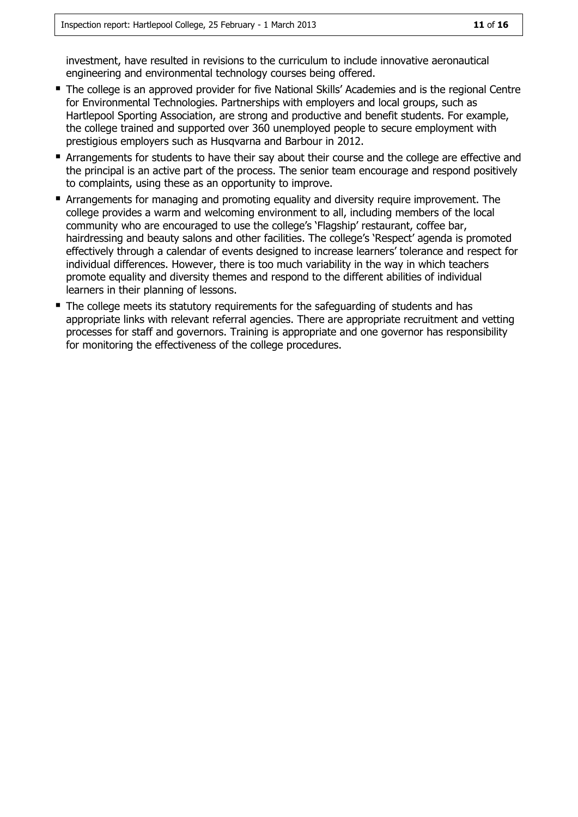investment, have resulted in revisions to the curriculum to include innovative aeronautical engineering and environmental technology courses being offered.

- The college is an approved provider for five National Skills' Academies and is the regional Centre for Environmental Technologies. Partnerships with employers and local groups, such as Hartlepool Sporting Association, are strong and productive and benefit students. For example, the college trained and supported over 360 unemployed people to secure employment with prestigious employers such as Husqvarna and Barbour in 2012.
- Arrangements for students to have their say about their course and the college are effective and the principal is an active part of the process. The senior team encourage and respond positively to complaints, using these as an opportunity to improve.
- Arrangements for managing and promoting equality and diversity require improvement. The college provides a warm and welcoming environment to all, including members of the local community who are encouraged to use the college's 'Flagship' restaurant, coffee bar, hairdressing and beauty salons and other facilities. The college's 'Respect' agenda is promoted effectively through a calendar of events designed to increase learners' tolerance and respect for individual differences. However, there is too much variability in the way in which teachers promote equality and diversity themes and respond to the different abilities of individual learners in their planning of lessons.
- The college meets its statutory requirements for the safeguarding of students and has appropriate links with relevant referral agencies. There are appropriate recruitment and vetting processes for staff and governors. Training is appropriate and one governor has responsibility for monitoring the effectiveness of the college procedures.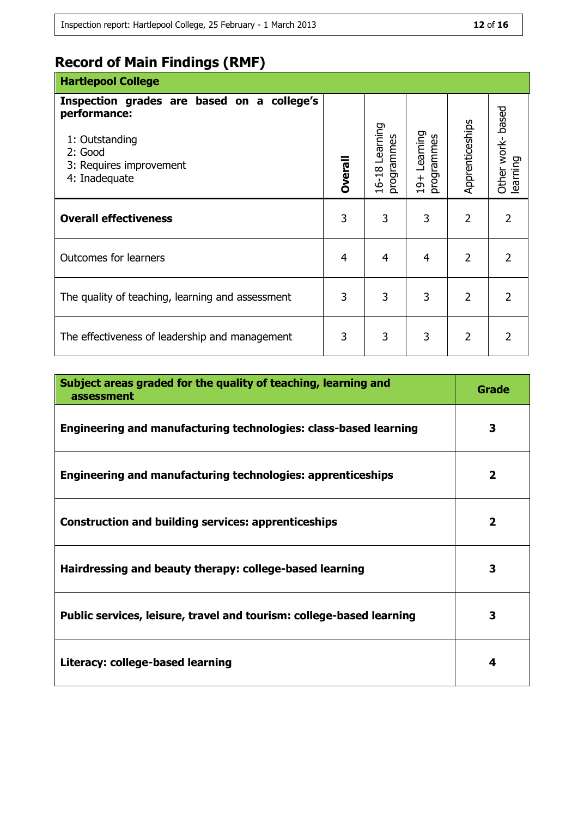# **Record of Main Findings (RMF)**

| <b>Hartlepool College</b>                                                                                                           |         |                              |                                 |                 |                                  |
|-------------------------------------------------------------------------------------------------------------------------------------|---------|------------------------------|---------------------------------|-----------------|----------------------------------|
| Inspection grades are based on a college's<br>performance:<br>1: Outstanding<br>2: Good<br>3: Requires improvement<br>4: Inadequate | Dverall | 16-18 Learning<br>programmes | Learning<br>programmes<br>$19+$ | Apprenticeships | based<br>Other work-<br>learning |
|                                                                                                                                     |         |                              |                                 |                 |                                  |
| <b>Overall effectiveness</b>                                                                                                        | 3       | 3                            | 3                               | $\overline{2}$  | $\overline{2}$                   |
| <b>Outcomes for learners</b>                                                                                                        | 4       | $\overline{4}$               | $\overline{4}$                  | $\overline{2}$  | $\overline{2}$                   |
| The quality of teaching, learning and assessment                                                                                    |         | 3                            | 3                               | $\overline{2}$  | 2                                |
| The effectiveness of leadership and management                                                                                      |         | 3                            | 3                               | 2               | 2                                |

| Subject areas graded for the quality of teaching, learning and<br>assessment | Grade        |
|------------------------------------------------------------------------------|--------------|
| Engineering and manufacturing technologies: class-based learning             | 3            |
| <b>Engineering and manufacturing technologies: apprenticeships</b>           | $\mathbf{2}$ |
| <b>Construction and building services: apprenticeships</b>                   | $\mathbf{2}$ |
| Hairdressing and beauty therapy: college-based learning                      | 3            |
| Public services, leisure, travel and tourism: college-based learning         | 3            |
| Literacy: college-based learning                                             | 4            |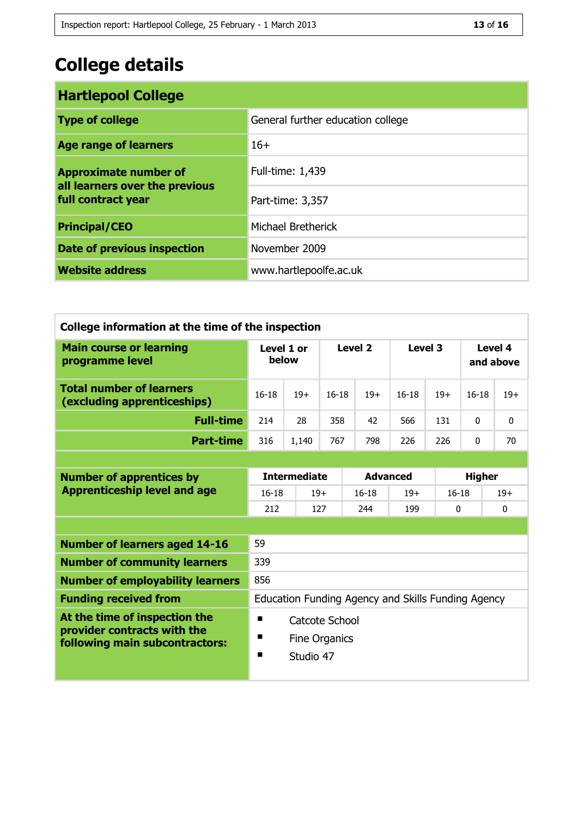# **College details**

| <b>Hartlepool College</b>                                                            |                                   |  |  |  |
|--------------------------------------------------------------------------------------|-----------------------------------|--|--|--|
| <b>Type of college</b>                                                               | General further education college |  |  |  |
| <b>Age range of learners</b>                                                         | $16+$                             |  |  |  |
| <b>Approximate number of</b><br>all learners over the previous<br>full contract year | Full-time: 1,439                  |  |  |  |
|                                                                                      | Part-time: 3,357                  |  |  |  |
| <b>Principal/CEO</b>                                                                 | Michael Bretherick                |  |  |  |
| <b>Date of previous inspection</b>                                                   | November 2009                     |  |  |  |
| <b>Website address</b>                                                               | www.hartlepoolfe.ac.uk            |  |  |  |

| College information at the time of the inspection              |                                                    |           |            |                 |          |       |                      |              |  |
|----------------------------------------------------------------|----------------------------------------------------|-----------|------------|-----------------|----------|-------|----------------------|--------------|--|
| <b>Main course or learning</b><br>programme level              | Level 1 or<br>below                                |           | Level 2    |                 | Level 3  |       | Level 4<br>and above |              |  |
| <b>Total number of learners</b><br>(excluding apprenticeships) | $16 - 18$                                          | $19+$     | $16 - 18$  | $19+$           | $16-18$  | $19+$ | $16 - 18$            | $19+$        |  |
| <b>Full-time</b>                                               | 214                                                | 28        | 358        | 42              | 566      | 131   | $\Omega$             | $\mathbf{0}$ |  |
| <b>Part-time</b>                                               | 316                                                | 1,140     | 767        | 798             | 226      | 226   | $\Omega$             | 70           |  |
|                                                                |                                                    |           |            |                 |          |       |                      |              |  |
| <b>Number of apprentices by</b>                                | <b>Intermediate</b>                                |           |            | <b>Advanced</b> |          |       | <b>Higher</b>        |              |  |
| <b>Apprenticeship level and age</b>                            | $16 - 18$<br>$19+$                                 |           |            | $16 - 18$       | $19+$    |       | $16-18$              |              |  |
|                                                                | 212                                                |           | 127<br>244 |                 | 199<br>0 |       |                      | $\mathbf{0}$ |  |
|                                                                |                                                    |           |            |                 |          |       |                      |              |  |
| <b>Number of learners aged 14-16</b>                           | 59                                                 |           |            |                 |          |       |                      |              |  |
| <b>Number of community learners</b>                            | 339                                                |           |            |                 |          |       |                      |              |  |
| 856<br><b>Number of employability learners</b>                 |                                                    |           |            |                 |          |       |                      |              |  |
| <b>Funding received from</b>                                   | Education Funding Agency and Skills Funding Agency |           |            |                 |          |       |                      |              |  |
| At the time of inspection the                                  | ■<br>Catcote School                                |           |            |                 |          |       |                      |              |  |
| provider contracts with the<br>following main subcontractors:  | п<br><b>Fine Organics</b>                          |           |            |                 |          |       |                      |              |  |
|                                                                | п                                                  | Studio 47 |            |                 |          |       |                      |              |  |
|                                                                |                                                    |           |            |                 |          |       |                      |              |  |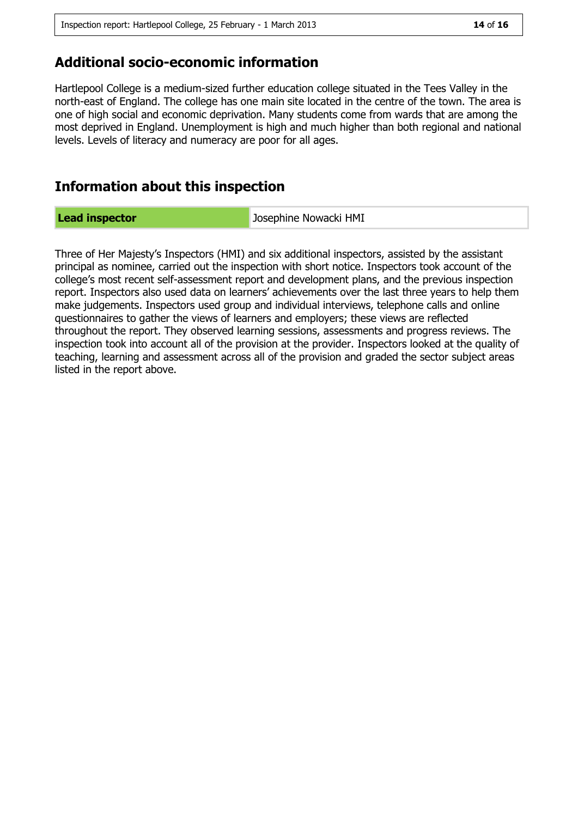### **Additional socio-economic information**

Hartlepool College is a medium-sized further education college situated in the Tees Valley in the north-east of England. The college has one main site located in the centre of the town. The area is one of high social and economic deprivation. Many students come from wards that are among the most deprived in England. Unemployment is high and much higher than both regional and national levels. Levels of literacy and numeracy are poor for all ages.

# **Information about this inspection**

Lead inspector **Lead inspector** Josephine Nowacki HMI

Three of Her Majesty's Inspectors (HMI) and six additional inspectors, assisted by the assistant principal as nominee, carried out the inspection with short notice. Inspectors took account of the college's most recent self-assessment report and development plans, and the previous inspection report. Inspectors also used data on learners' achievements over the last three years to help them make judgements. Inspectors used group and individual interviews, telephone calls and online questionnaires to gather the views of learners and employers; these views are reflected throughout the report. They observed learning sessions, assessments and progress reviews. The inspection took into account all of the provision at the provider. Inspectors looked at the quality of teaching, learning and assessment across all of the provision and graded the sector subject areas listed in the report above.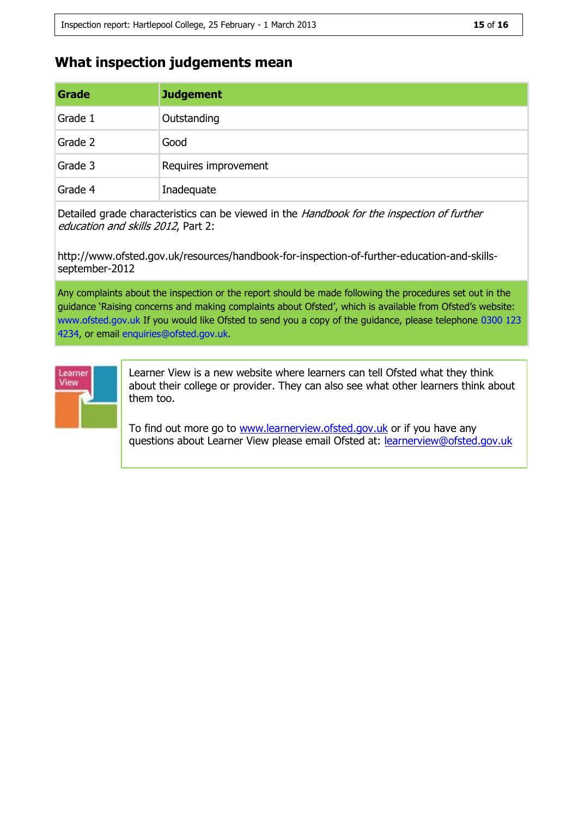# **What inspection judgements mean**

| Grade   | <b>Judgement</b>     |
|---------|----------------------|
| Grade 1 | Outstanding          |
| Grade 2 | Good                 |
| Grade 3 | Requires improvement |
| Grade 4 | Inadequate           |

Detailed grade characteristics can be viewed in the Handbook for the inspection of further education and skills 2012, Part 2:

http://www.ofsted.gov.uk/resources/handbook-for-inspection-of-further-education-and-skillsseptember-2012

Any complaints about the inspection or the report should be made following the procedures set out in the guidance 'Raising concerns and making complaints about Ofsted', which is available from Ofsted's website: www.ofsted.gov.uk If you would like Ofsted to send you a copy of the guidance, please telephone 0300 123 4234, or email enquiries@ofsted.gov.uk.



Learner View is a new website where learners can tell Ofsted what they think about their college or provider. They can also see what other learners think about them too.

To find out more go to [www.learnerview.ofsted.gov.uk](http://www.learnerview.ofsted.gov.uk/) or if you have any questions about Learner View please email Ofsted at: [learnerview@ofsted.gov.uk](mailto:learnerview@ofsted.gov.uk)